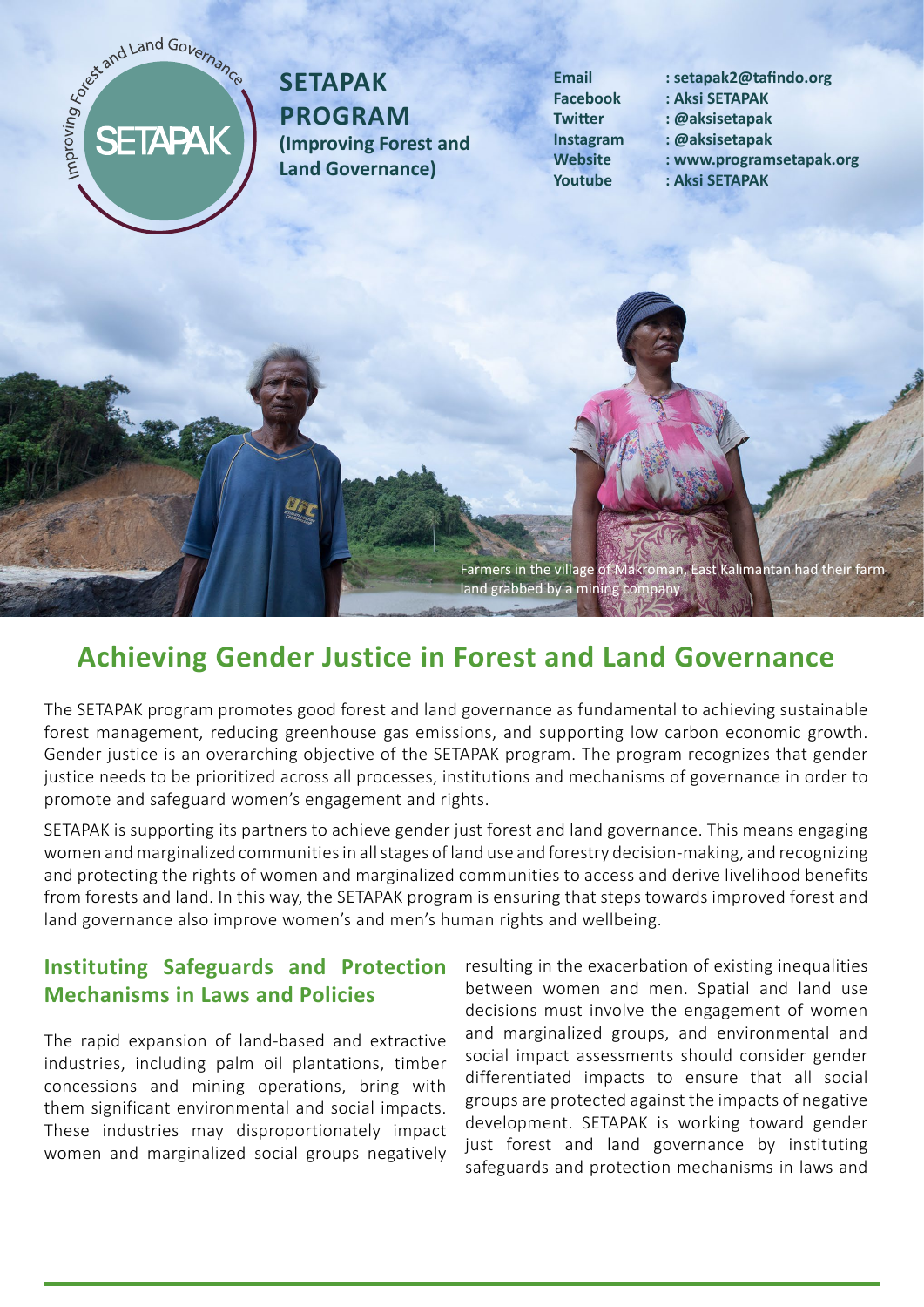# SETAPAK

# **SETAPAK Program (Improving Forest and Land Governance)**

- **Email : setapak2@tafindo.org**
- **Facebook : Aksi SETAPAK**
- **Twitter : @aksisetapak**
- **Instagram : @aksisetapak**
- **Website : www.programsetapak.org**
- **Youtube : Aksi SETAPAK**



# **Achieving Gender Justice in Forest and Land Governance**

The SETAPAK program promotes good forest and land governance as fundamental to achieving sustainable forest management, reducing greenhouse gas emissions, and supporting low carbon economic growth. Gender justice is an overarching objective of the SETAPAK program. The program recognizes that gender justice needs to be prioritized across all processes, institutions and mechanisms of governance in order to promote and safeguard women's engagement and rights.

SETAPAK is supporting its partners to achieve gender just forest and land governance. This means engaging women and marginalized communities in all stages of land use and forestry decision-making, and recognizing and protecting the rights of women and marginalized communities to access and derive livelihood benefits from forests and land. In this way, the SETAPAK program is ensuring that steps towards improved forest and land governance also improve women's and men's human rights and wellbeing.

# **Instituting Safeguards and Protection Mechanisms in Laws and Policies**

The rapid expansion of land-based and extractive industries, including palm oil plantations, timber concessions and mining operations, bring with them significant environmental and social impacts. These industries may disproportionately impact women and marginalized social groups negatively resulting in the exacerbation of existing inequalities between women and men. Spatial and land use decisions must involve the engagement of women and marginalized groups, and environmental and social impact assessments should consider gender differentiated impacts to ensure that all social groups are protected against the impacts of negative development. SETAPAK is working toward gender just forest and land governance by instituting safeguards and protection mechanisms in laws and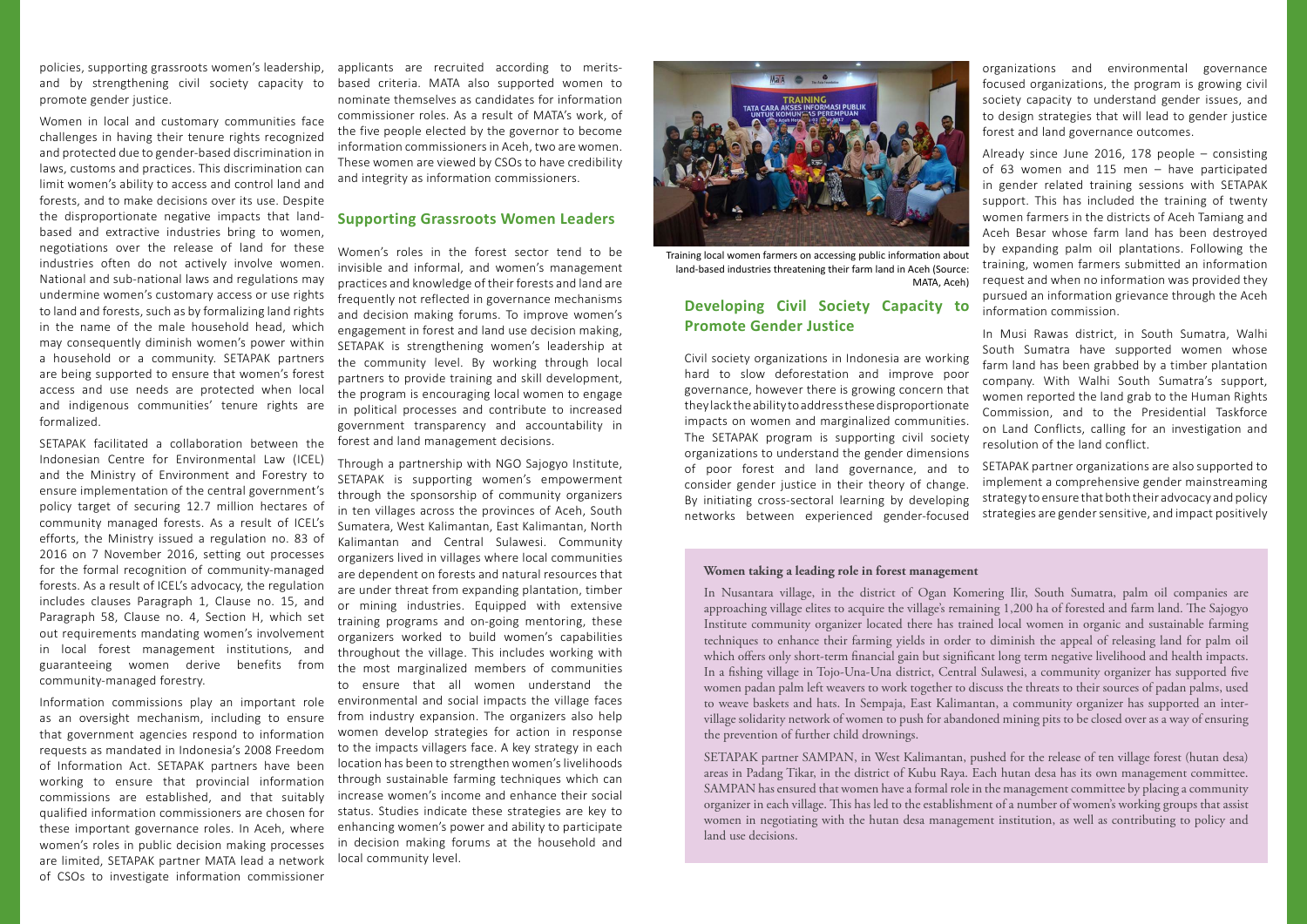policies, supporting grassroots women's leadership, and by strengthening civil society capacity to promote gender justice.

Women in local and customary communities face challenges in having their tenure rights recognized and protected due to gender-based discrimination in laws, customs and practices. This discrimination can limit women's ability to access and control land and forests, and to make decisions over its use. Despite the disproportionate negative impacts that landbased and extractive industries bring to women, negotiations over the release of land for these industries often do not actively involve women. National and sub-national laws and regulations may undermine women's customary access or use rights to land and forests, such as by formalizing land rights in the name of the male household head, which may consequently diminish women's power within a household or a community. SETAPAK partners are being supported to ensure that women's forest access and use needs are protected when local and indigenous communities' tenure rights are formalized.

SETAPAK facilitated a collaboration between the Indonesian Centre for Environmental Law (ICEL) and the Ministry of Environment and Forestry to ensure implementation of the central government's policy target of securing 12.7 million hectares of community managed forests. As a result of ICEL's efforts, the Ministry issued a regulation no. 83 of 2016 on 7 November 2016, setting out processes for the formal recognition of community-managed forests. As a result of ICEL's advocacy, the regulation includes clauses Paragraph 1, Clause no. 15, and Paragraph 58, Clause no. 4, Section H, which set out requirements mandating women's involvement in local forest management institutions, and guaranteeing women derive benefits from community-managed forestry.

Information commissions play an important role as an oversight mechanism, including to ensure that government agencies respond to information requests as mandated in Indonesia's 2008 Freedom of Information Act. SETAPAK partners have been working to ensure that provincial information commissions are established, and that suitably qualified information commissioners are chosen for these important governance roles. In Aceh, where women's roles in public decision making processes are limited, SETAPAK partner MATA lead a network of CSOs to investigate information commissioner

applicants are recruited according to meritsbased criteria. MATA also supported women to nominate themselves as candidates for information commissioner roles. As a result of MATA's work, of the five people elected by the governor to become information commissioners in Aceh, two are women. These women are viewed by CSOs to have credibility and integrity as information commissioners.

#### **Supporting Grassroots Women Leaders**

Women's roles in the forest sector tend to be invisible and informal, and women's management practices and knowledge of their forests and land are frequently not reflected in governance mechanisms and decision making forums. To improve women's engagement in forest and land use decision making, SETAPAK is strengthening women's leadership at the community level. By working through local partners to provide training and skill development, the program is encouraging local women to engage in political processes and contribute to increased government transparency and accountability in forest and land management decisions.

Through a partnership with NGO Sajogyo Institute, SETAPAK is supporting women's empowerment through the sponsorship of community organizers in ten villages across the provinces of Aceh, South Sumatera, West Kalimantan, East Kalimantan, North Kalimantan and Central Sulawesi. Community organizers lived in villages where local communities are dependent on forests and natural resources that are under threat from expanding plantation, timber or mining industries. Equipped with extensive training programs and on-going mentoring, these organizers worked to build women's capabilities throughout the village. This includes working with the most marginalized members of communities to ensure that all women understand the environmental and social impacts the village faces from industry expansion. The organizers also help women develop strategies for action in response to the impacts villagers face. A key strategy in each location has been to strengthen women's livelihoods through sustainable farming techniques which can increase women's income and enhance their social status. Studies indicate these strategies are key to enhancing women's power and ability to participate in decision making forums at the household and local community level.



Training local women farmers on accessing public information about land-based industries threatening their farm land in Aceh (Source: MATA, Aceh)

### **Developing Civil Society Capacity to Promote Gender Justice**

Civil society organizations in Indonesia are working hard to slow deforestation and improve poor governance, however there is growing concern that they lack the ability to address these disproportionate impacts on women and marginalized communities. The SETAPAK program is supporting civil society organizations to understand the gender dimensions of poor forest and land governance, and to consider gender justice in their theory of change. By initiating cross-sectoral learning by developing networks between experienced gender-focused

organizations and environmental governance focused organizations, the program is growing civil society capacity to understand gender issues, and to design strategies that will lead to gender justice forest and land governance outcomes.

Already since June 2016, 178 people – consisting of 63 women and 115 men – have participated in gender related training sessions with SETAPAK support. This has included the training of twenty women farmers in the districts of Aceh Tamiang and Aceh Besar whose farm land has been destroyed by expanding palm oil plantations. Following the training, women farmers submitted an information request and when no information was provided they pursued an information grievance through the Aceh information commission.

In Musi Rawas district, in South Sumatra, Walhi South Sumatra have supported women whose farm land has been grabbed by a timber plantation company. With Walhi South Sumatra's support, women reported the land grab to the Human Rights Commission, and to the Presidential Taskforce on Land Conflicts, calling for an investigation and resolution of the land conflict.

SETAPAK partner organizations are also supported to implement a comprehensive gender mainstreaming strategy to ensure that both their advocacy and policy strategies are gender sensitive, and impact positively

#### **Women taking a leading role in forest management**

In Nusantara village, in the district of Ogan Komering Ilir, South Sumatra, palm oil companies are approaching village elites to acquire the village's remaining 1,200 ha of forested and farm land. The Sajogyo Institute community organizer located there has trained local women in organic and sustainable farming techniques to enhance their farming yields in order to diminish the appeal of releasing land for palm oil which offers only short-term financial gain but significant long term negative livelihood and health impacts. In a fishing village in Tojo-Una-Una district, Central Sulawesi, a community organizer has supported five women padan palm left weavers to work together to discuss the threats to their sources of padan palms, used to weave baskets and hats. In Sempaja, East Kalimantan, a community organizer has supported an intervillage solidarity network of women to push for abandoned mining pits to be closed over as a way of ensuring the prevention of further child drownings.

SETAPAK partner SAMPAN, in West Kalimantan, pushed for the release of ten village forest (hutan desa) areas in Padang Tikar, in the district of Kubu Raya. Each hutan desa has its own management committee. SAMPAN has ensured that women have a formal role in the management committee by placing a community organizer in each village. This has led to the establishment of a number of women's working groups that assist women in negotiating with the hutan desa management institution, as well as contributing to policy and land use decisions.